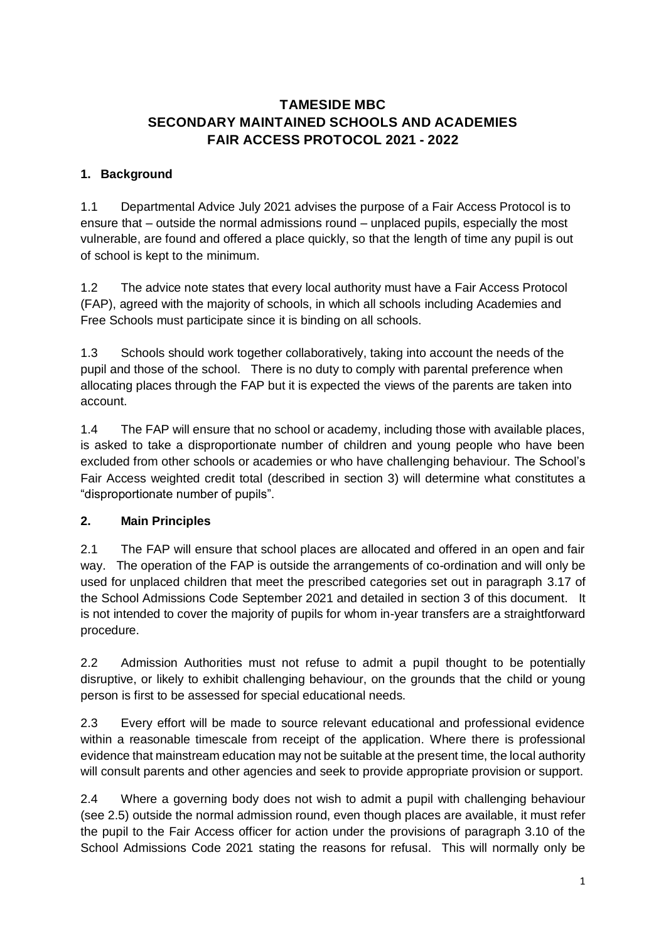# **TAMESIDE MBC SECONDARY MAINTAINED SCHOOLS AND ACADEMIES FAIR ACCESS PROTOCOL 2021 - 2022**

## **1. Background**

1.1 Departmental Advice July 2021 advises the purpose of a Fair Access Protocol is to ensure that – outside the normal admissions round – unplaced pupils, especially the most vulnerable, are found and offered a place quickly, so that the length of time any pupil is out of school is kept to the minimum.

1.2 The advice note states that every local authority must have a Fair Access Protocol (FAP), agreed with the majority of schools, in which all schools including Academies and Free Schools must participate since it is binding on all schools.

1.3 Schools should work together collaboratively, taking into account the needs of the pupil and those of the school. There is no duty to comply with parental preference when allocating places through the FAP but it is expected the views of the parents are taken into account.

1.4 The FAP will ensure that no school or academy, including those with available places, is asked to take a disproportionate number of children and young people who have been excluded from other schools or academies or who have challenging behaviour. The School's Fair Access weighted credit total (described in section 3) will determine what constitutes a "disproportionate number of pupils".

#### **2. Main Principles**

2.1 The FAP will ensure that school places are allocated and offered in an open and fair way. The operation of the FAP is outside the arrangements of co-ordination and will only be used for unplaced children that meet the prescribed categories set out in paragraph 3.17 of the School Admissions Code September 2021 and detailed in section 3 of this document. It is not intended to cover the majority of pupils for whom in-year transfers are a straightforward procedure.

2.2 Admission Authorities must not refuse to admit a pupil thought to be potentially disruptive, or likely to exhibit challenging behaviour, on the grounds that the child or young person is first to be assessed for special educational needs.

2.3 Every effort will be made to source relevant educational and professional evidence within a reasonable timescale from receipt of the application. Where there is professional evidence that mainstream education may not be suitable at the present time, the local authority will consult parents and other agencies and seek to provide appropriate provision or support.

2.4 Where a governing body does not wish to admit a pupil with challenging behaviour (see 2.5) outside the normal admission round, even though places are available, it must refer the pupil to the Fair Access officer for action under the provisions of paragraph 3.10 of the School Admissions Code 2021 stating the reasons for refusal. This will normally only be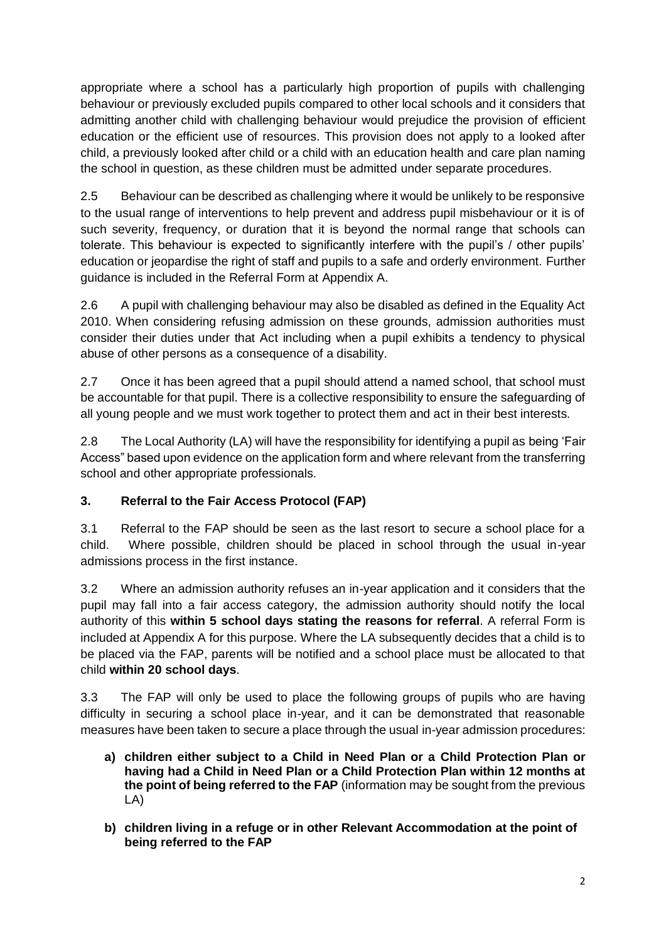appropriate where a school has a particularly high proportion of pupils with challenging behaviour or previously excluded pupils compared to other local schools and it considers that admitting another child with challenging behaviour would prejudice the provision of efficient education or the efficient use of resources. This provision does not apply to a looked after child, a previously looked after child or a child with an education health and care plan naming the school in question, as these children must be admitted under separate procedures.

2.5 Behaviour can be described as challenging where it would be unlikely to be responsive to the usual range of interventions to help prevent and address pupil misbehaviour or it is of such severity, frequency, or duration that it is beyond the normal range that schools can tolerate. This behaviour is expected to significantly interfere with the pupil's / other pupils' education or jeopardise the right of staff and pupils to a safe and orderly environment. Further guidance is included in the Referral Form at Appendix A.

2.6 A pupil with challenging behaviour may also be disabled as defined in the Equality Act 2010. When considering refusing admission on these grounds, admission authorities must consider their duties under that Act including when a pupil exhibits a tendency to physical abuse of other persons as a consequence of a disability.

2.7 Once it has been agreed that a pupil should attend a named school, that school must be accountable for that pupil. There is a collective responsibility to ensure the safeguarding of all young people and we must work together to protect them and act in their best interests.

2.8 The Local Authority (LA) will have the responsibility for identifying a pupil as being 'Fair Access" based upon evidence on the application form and where relevant from the transferring school and other appropriate professionals.

# **3. Referral to the Fair Access Protocol (FAP)**

3.1 Referral to the FAP should be seen as the last resort to secure a school place for a child. Where possible, children should be placed in school through the usual in-year admissions process in the first instance.

3.2 Where an admission authority refuses an in-year application and it considers that the pupil may fall into a fair access category, the admission authority should notify the local authority of this **within 5 school days stating the reasons for referral**. A referral Form is included at Appendix A for this purpose. Where the LA subsequently decides that a child is to be placed via the FAP, parents will be notified and a school place must be allocated to that child **within 20 school days**.

3.3 The FAP will only be used to place the following groups of pupils who are having difficulty in securing a school place in-year, and it can be demonstrated that reasonable measures have been taken to secure a place through the usual in-year admission procedures:

- **a) children either subject to a Child in Need Plan or a Child Protection Plan or having had a Child in Need Plan or a Child Protection Plan within 12 months at the point of being referred to the FAP** (information may be sought from the previous LA)
- **b) children living in a refuge or in other Relevant Accommodation at the point of being referred to the FAP**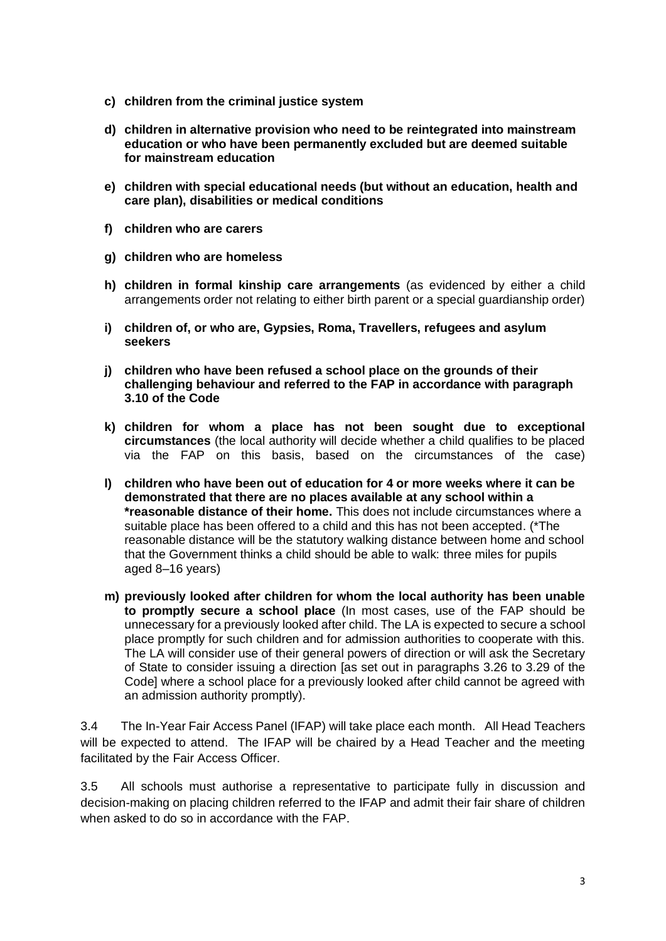- **c) children from the criminal justice system**
- **d) children in alternative provision who need to be reintegrated into mainstream education or who have been permanently excluded but are deemed suitable for mainstream education**
- **e) children with special educational needs (but without an education, health and care plan), disabilities or medical conditions**
- **f) children who are carers**
- **g) children who are homeless**
- **h) children in formal kinship care arrangements** (as evidenced by either a child arrangements order not relating to either birth parent or a special guardianship order)
- **i) children of, or who are, Gypsies, Roma, Travellers, refugees and asylum seekers**
- **j) children who have been refused a school place on the grounds of their challenging behaviour and referred to the FAP in accordance with paragraph 3.10 of the Code**
- **k) children for whom a place has not been sought due to exceptional circumstances** (the local authority will decide whether a child qualifies to be placed via the FAP on this basis, based on the circumstances of the case)
- **l) children who have been out of education for 4 or more weeks where it can be demonstrated that there are no places available at any school within a \*reasonable distance of their home.** This does not include circumstances where a suitable place has been offered to a child and this has not been accepted. (\*The reasonable distance will be the statutory walking distance between home and school that the Government thinks a child should be able to walk: three miles for pupils aged 8–16 years)
- **m) previously looked after children for whom the local authority has been unable to promptly secure a school place** (In most cases, use of the FAP should be unnecessary for a previously looked after child. The LA is expected to secure a school place promptly for such children and for admission authorities to cooperate with this. The LA will consider use of their general powers of direction or will ask the Secretary of State to consider issuing a direction [as set out in paragraphs 3.26 to 3.29 of the Code] where a school place for a previously looked after child cannot be agreed with an admission authority promptly).

3.4 The In-Year Fair Access Panel (IFAP) will take place each month. All Head Teachers will be expected to attend. The IFAP will be chaired by a Head Teacher and the meeting facilitated by the Fair Access Officer.

3.5 All schools must authorise a representative to participate fully in discussion and decision-making on placing children referred to the IFAP and admit their fair share of children when asked to do so in accordance with the FAP.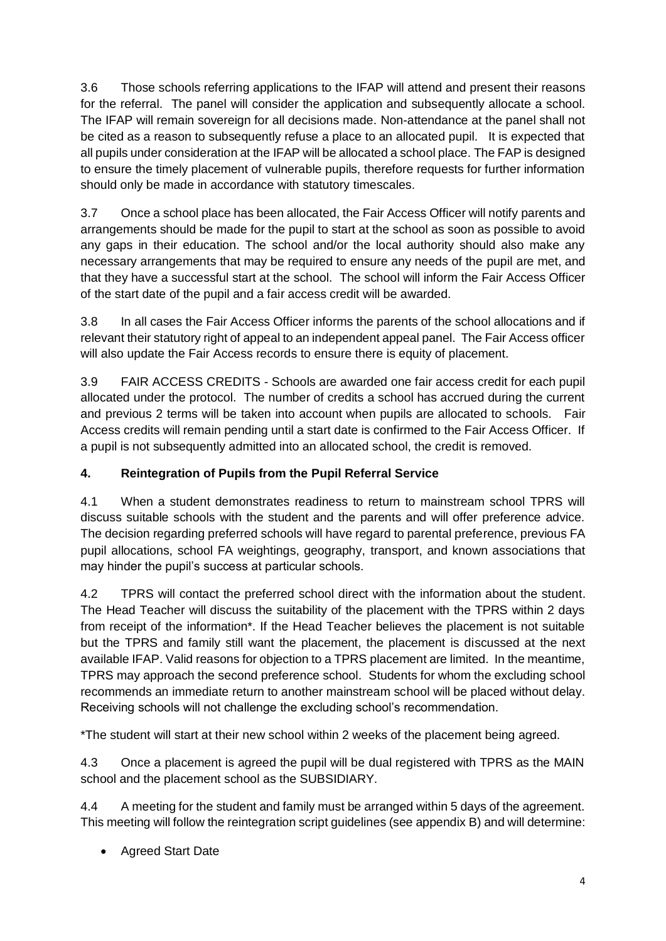3.6 Those schools referring applications to the IFAP will attend and present their reasons for the referral. The panel will consider the application and subsequently allocate a school. The IFAP will remain sovereign for all decisions made. Non-attendance at the panel shall not be cited as a reason to subsequently refuse a place to an allocated pupil. It is expected that all pupils under consideration at the IFAP will be allocated a school place. The FAP is designed to ensure the timely placement of vulnerable pupils, therefore requests for further information should only be made in accordance with statutory timescales.

3.7 Once a school place has been allocated, the Fair Access Officer will notify parents and arrangements should be made for the pupil to start at the school as soon as possible to avoid any gaps in their education. The school and/or the local authority should also make any necessary arrangements that may be required to ensure any needs of the pupil are met, and that they have a successful start at the school. The school will inform the Fair Access Officer of the start date of the pupil and a fair access credit will be awarded.

3.8 In all cases the Fair Access Officer informs the parents of the school allocations and if relevant their statutory right of appeal to an independent appeal panel. The Fair Access officer will also update the Fair Access records to ensure there is equity of placement.

3.9 FAIR ACCESS CREDITS - Schools are awarded one fair access credit for each pupil allocated under the protocol. The number of credits a school has accrued during the current and previous 2 terms will be taken into account when pupils are allocated to schools. Fair Access credits will remain pending until a start date is confirmed to the Fair Access Officer. If a pupil is not subsequently admitted into an allocated school, the credit is removed.

# **4. Reintegration of Pupils from the Pupil Referral Service**

4.1 When a student demonstrates readiness to return to mainstream school TPRS will discuss suitable schools with the student and the parents and will offer preference advice. The decision regarding preferred schools will have regard to parental preference, previous FA pupil allocations, school FA weightings, geography, transport, and known associations that may hinder the pupil's success at particular schools.

4.2 TPRS will contact the preferred school direct with the information about the student. The Head Teacher will discuss the suitability of the placement with the TPRS within 2 days from receipt of the information\*. If the Head Teacher believes the placement is not suitable but the TPRS and family still want the placement, the placement is discussed at the next available IFAP. Valid reasons for objection to a TPRS placement are limited. In the meantime, TPRS may approach the second preference school. Students for whom the excluding school recommends an immediate return to another mainstream school will be placed without delay. Receiving schools will not challenge the excluding school's recommendation.

\*The student will start at their new school within 2 weeks of the placement being agreed.

4.3 Once a placement is agreed the pupil will be dual registered with TPRS as the MAIN school and the placement school as the SUBSIDIARY.

4.4 A meeting for the student and family must be arranged within 5 days of the agreement. This meeting will follow the reintegration script guidelines (see appendix B) and will determine:

• Agreed Start Date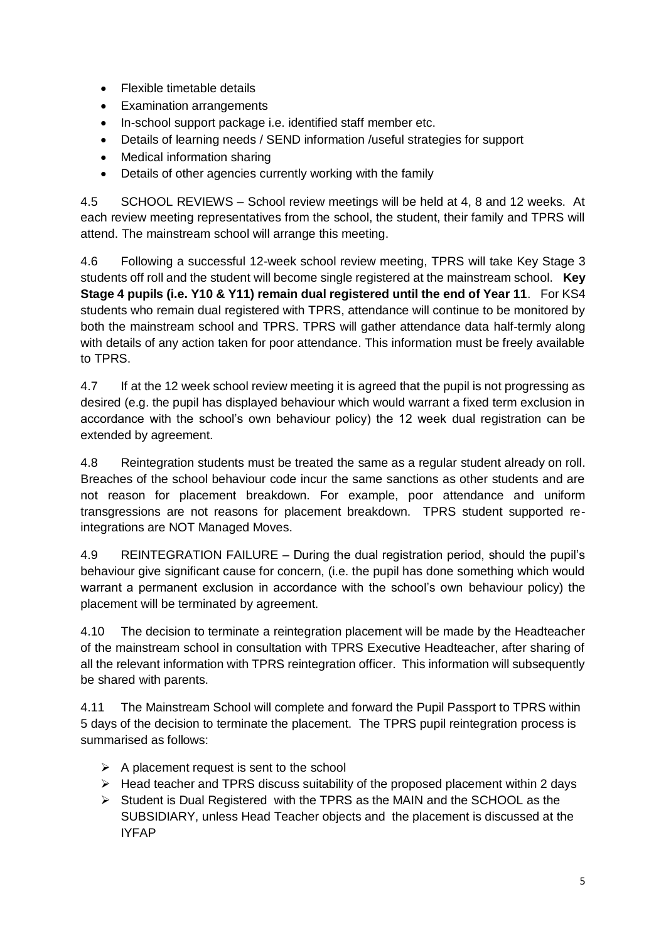- Flexible timetable details
- Examination arrangements
- In-school support package i.e. identified staff member etc.
- Details of learning needs / SEND information /useful strategies for support
- Medical information sharing
- Details of other agencies currently working with the family

4.5 SCHOOL REVIEWS – School review meetings will be held at 4, 8 and 12 weeks. At each review meeting representatives from the school, the student, their family and TPRS will attend. The mainstream school will arrange this meeting.

4.6 Following a successful 12-week school review meeting, TPRS will take Key Stage 3 students off roll and the student will become single registered at the mainstream school. **Key Stage 4 pupils (i.e. Y10 & Y11) remain dual registered until the end of Year 11**. For KS4 students who remain dual registered with TPRS, attendance will continue to be monitored by both the mainstream school and TPRS. TPRS will gather attendance data half-termly along with details of any action taken for poor attendance. This information must be freely available to TPRS.

4.7 If at the 12 week school review meeting it is agreed that the pupil is not progressing as desired (e.g. the pupil has displayed behaviour which would warrant a fixed term exclusion in accordance with the school's own behaviour policy) the 12 week dual registration can be extended by agreement.

4.8 Reintegration students must be treated the same as a regular student already on roll. Breaches of the school behaviour code incur the same sanctions as other students and are not reason for placement breakdown. For example, poor attendance and uniform transgressions are not reasons for placement breakdown. TPRS student supported reintegrations are NOT Managed Moves.

4.9 REINTEGRATION FAILURE – During the dual registration period, should the pupil's behaviour give significant cause for concern, (i.e. the pupil has done something which would warrant a permanent exclusion in accordance with the school's own behaviour policy) the placement will be terminated by agreement.

4.10 The decision to terminate a reintegration placement will be made by the Headteacher of the mainstream school in consultation with TPRS Executive Headteacher, after sharing of all the relevant information with TPRS reintegration officer. This information will subsequently be shared with parents.

4.11 The Mainstream School will complete and forward the Pupil Passport to TPRS within 5 days of the decision to terminate the placement. The TPRS pupil reintegration process is summarised as follows:

- $\triangleright$  A placement request is sent to the school
- $\triangleright$  Head teacher and TPRS discuss suitability of the proposed placement within 2 days
- $\triangleright$  Student is Dual Registered with the TPRS as the MAIN and the SCHOOL as the SUBSIDIARY, unless Head Teacher objects and the placement is discussed at the IYFAP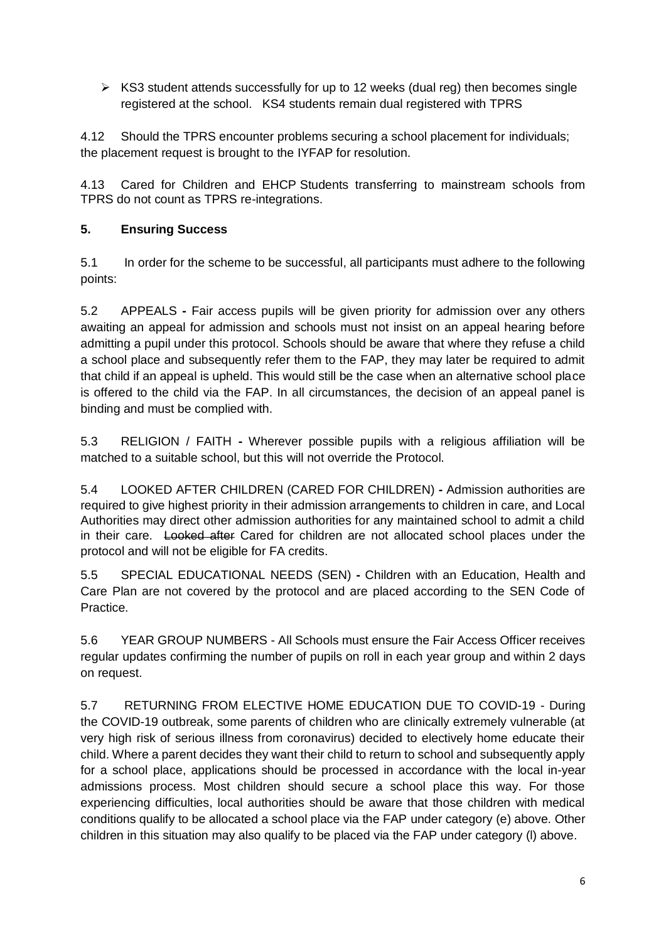$\triangleright$  KS3 student attends successfully for up to 12 weeks (dual reg) then becomes single registered at the school. KS4 students remain dual registered with TPRS

4.12 Should the TPRS encounter problems securing a school placement for individuals; the placement request is brought to the IYFAP for resolution.

4.13 Cared for Children and EHCP Students transferring to mainstream schools from TPRS do not count as TPRS re-integrations.

#### **5. Ensuring Success**

5.1 In order for the scheme to be successful, all participants must adhere to the following points:

5.2 APPEALS **-** Fair access pupils will be given priority for admission over any others awaiting an appeal for admission and schools must not insist on an appeal hearing before admitting a pupil under this protocol. Schools should be aware that where they refuse a child a school place and subsequently refer them to the FAP, they may later be required to admit that child if an appeal is upheld. This would still be the case when an alternative school place is offered to the child via the FAP. In all circumstances, the decision of an appeal panel is binding and must be complied with.

5.3 RELIGION / FAITH **-** Wherever possible pupils with a religious affiliation will be matched to a suitable school, but this will not override the Protocol.

5.4 LOOKED AFTER CHILDREN (CARED FOR CHILDREN) **-** Admission authorities are required to give highest priority in their admission arrangements to children in care, and Local Authorities may direct other admission authorities for any maintained school to admit a child in their care. Looked after Cared for children are not allocated school places under the protocol and will not be eligible for FA credits.

5.5 SPECIAL EDUCATIONAL NEEDS (SEN) **-** Children with an Education, Health and Care Plan are not covered by the protocol and are placed according to the SEN Code of Practice.

5.6 YEAR GROUP NUMBERS - All Schools must ensure the Fair Access Officer receives regular updates confirming the number of pupils on roll in each year group and within 2 days on request.

5.7 RETURNING FROM ELECTIVE HOME EDUCATION DUE TO COVID-19 - During the COVID-19 outbreak, some parents of children who are clinically extremely vulnerable (at very high risk of serious illness from coronavirus) decided to electively home educate their child. Where a parent decides they want their child to return to school and subsequently apply for a school place, applications should be processed in accordance with the local in-year admissions process. Most children should secure a school place this way. For those experiencing difficulties, local authorities should be aware that those children with medical conditions qualify to be allocated a school place via the FAP under category (e) above. Other children in this situation may also qualify to be placed via the FAP under category (l) above.